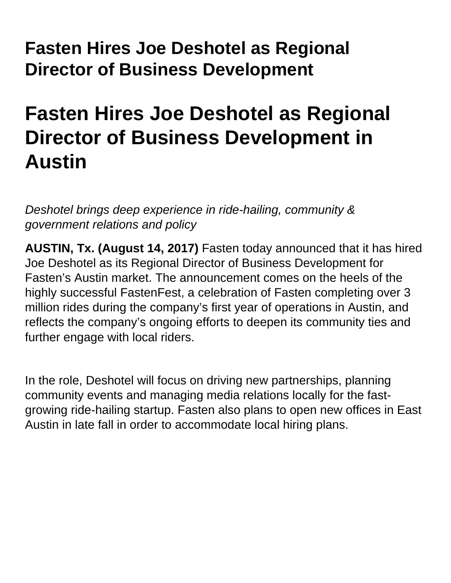## **Fasten Hires Joe Deshotel as Regional Director of Business Development**

## **Fasten Hires Joe Deshotel as Regional Director of Business Development in Austin**

Deshotel brings deep experience in ride-hailing, community & government relations and policy

**AUSTIN, Tx. (August 14, 2017)** Fasten today announced that it has hired Joe Deshotel as its Regional Director of Business Development for Fasten's Austin market. The announcement comes on the heels of the highly successful FastenFest, a celebration of Fasten completing over 3 million rides during the company's first year of operations in Austin, and reflects the company's ongoing efforts to deepen its community ties and further engage with local riders.

In the role, Deshotel will focus on driving new partnerships, planning community events and managing media relations locally for the fastgrowing ride-hailing startup. Fasten also plans to open new offices in East Austin in late fall in order to accommodate local hiring plans.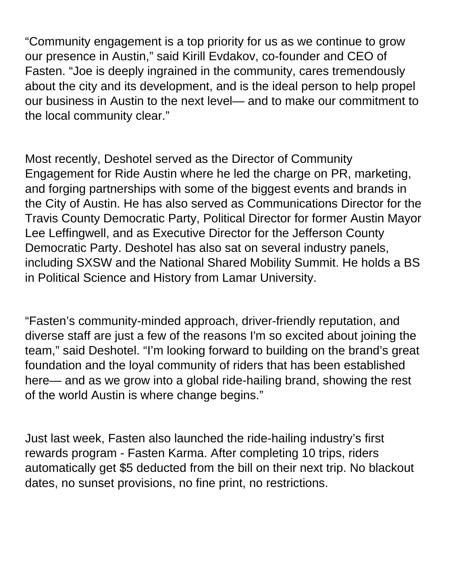"Community engagement is a top priority for us as we continue to grow our presence in Austin," said Kirill Evdakov, co-founder and CEO of Fasten. "Joe is deeply ingrained in the community, cares tremendously about the city and its development, and is the ideal person to help propel our business in Austin to the next level— and to make our commitment to the local community clear."

Most recently, Deshotel served as the Director of Community Engagement for Ride Austin where he led the charge on PR, marketing, and forging partnerships with some of the biggest events and brands in the City of Austin. He has also served as Communications Director for the Travis County Democratic Party, Political Director for former Austin Mayor Lee Leffingwell, and as Executive Director for the Jefferson County Democratic Party. Deshotel has also sat on several industry panels, including SXSW and the National Shared Mobility Summit. He holds a BS in Political Science and History from Lamar University.

"Fasten's community-minded approach, driver-friendly reputation, and diverse staff are just a few of the reasons I'm so excited about joining the team," said Deshotel. "I'm looking forward to building on the brand's great foundation and the loyal community of riders that has been established here— and as we grow into a global ride-hailing brand, showing the rest of the world Austin is where change begins."

Just last week, Fasten also launched the ride-hailing industry's first rewards program - Fasten Karma. After completing 10 trips, riders automatically get \$5 deducted from the bill on their next trip. No blackout dates, no sunset provisions, no fine print, no restrictions.